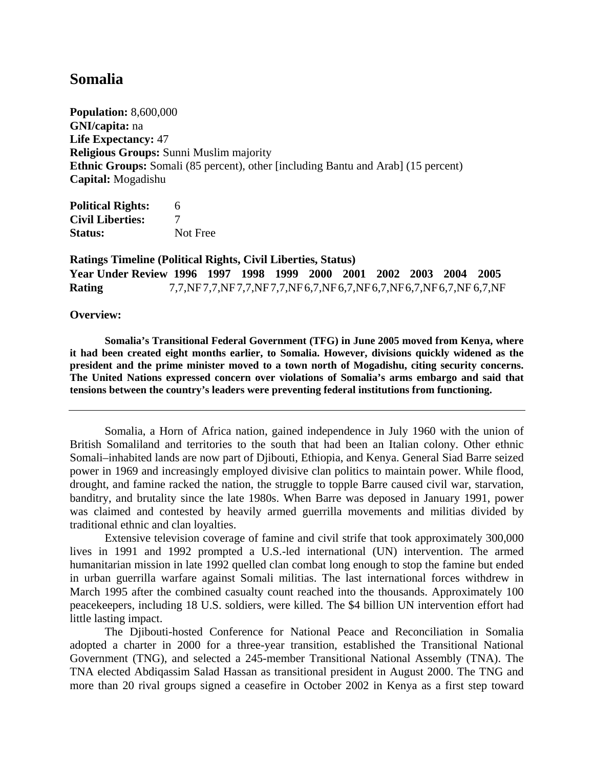## **Somalia**

**Population:** 8,600,000 **GNI/capita:** na **Life Expectancy:** 47 **Religious Groups:** Sunni Muslim majority **Ethnic Groups:** Somali (85 percent), other [including Bantu and Arab] (15 percent) **Capital:** Mogadishu

| <b>Political Rights:</b> | 6        |
|--------------------------|----------|
| <b>Civil Liberties:</b>  |          |
| <b>Status:</b>           | Not Free |

**Ratings Timeline (Political Rights, Civil Liberties, Status) Year Under Review 1996 1997 1998 1999 2000 2001 2002 2003 2004 2005 Rating** 7,7,NF 7,7,NF 7,7,NF7,7,NF6,7,NF6,7,NF6,7,NF6,7,NF 6,7,NF 6,7,NF

## **Overview:**

 **Somalia's Transitional Federal Government (TFG) in June 2005 moved from Kenya, where it had been created eight months earlier, to Somalia. However, divisions quickly widened as the president and the prime minister moved to a town north of Mogadishu, citing security concerns. The United Nations expressed concern over violations of Somalia's arms embargo and said that tensions between the country's leaders were preventing federal institutions from functioning.** 

Somalia, a Horn of Africa nation, gained independence in July 1960 with the union of British Somaliland and territories to the south that had been an Italian colony. Other ethnic Somali–inhabited lands are now part of Djibouti, Ethiopia, and Kenya. General Siad Barre seized power in 1969 and increasingly employed divisive clan politics to maintain power. While flood, drought, and famine racked the nation, the struggle to topple Barre caused civil war, starvation, banditry, and brutality since the late 1980s. When Barre was deposed in January 1991, power was claimed and contested by heavily armed guerrilla movements and militias divided by traditional ethnic and clan loyalties.

Extensive television coverage of famine and civil strife that took approximately 300,000 lives in 1991 and 1992 prompted a U.S.-led international (UN) intervention. The armed humanitarian mission in late 1992 quelled clan combat long enough to stop the famine but ended in urban guerrilla warfare against Somali militias. The last international forces withdrew in March 1995 after the combined casualty count reached into the thousands. Approximately 100 peacekeepers, including 18 U.S. soldiers, were killed. The \$4 billion UN intervention effort had little lasting impact.

The Djibouti-hosted Conference for National Peace and Reconciliation in Somalia adopted a charter in 2000 for a three-year transition, established the Transitional National Government (TNG), and selected a 245-member Transitional National Assembly (TNA). The TNA elected Abdiqassim Salad Hassan as transitional president in August 2000. The TNG and more than 20 rival groups signed a ceasefire in October 2002 in Kenya as a first step toward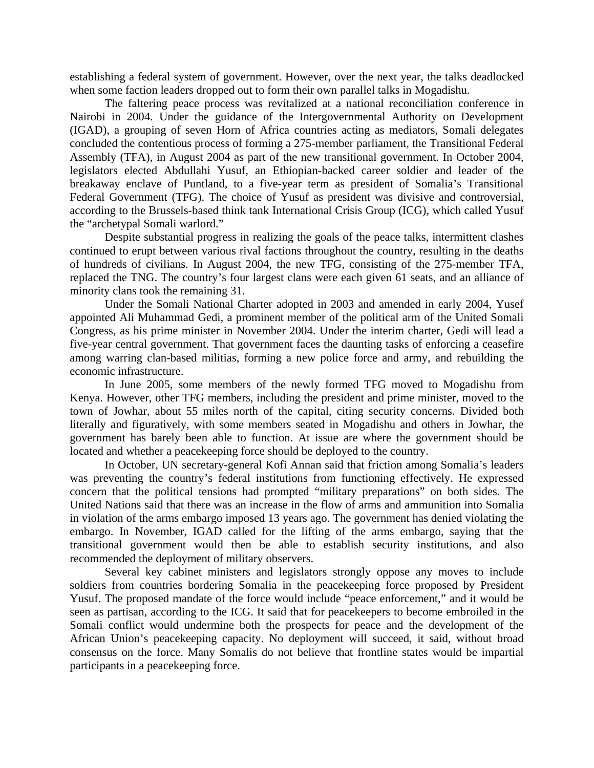establishing a federal system of government. However, over the next year, the talks deadlocked when some faction leaders dropped out to form their own parallel talks in Mogadishu.

The faltering peace process was revitalized at a national reconciliation conference in Nairobi in 2004. Under the guidance of the Intergovernmental Authority on Development (IGAD), a grouping of seven Horn of Africa countries acting as mediators, Somali delegates concluded the contentious process of forming a 275-member parliament, the Transitional Federal Assembly (TFA), in August 2004 as part of the new transitional government. In October 2004, legislators elected Abdullahi Yusuf, an Ethiopian-backed career soldier and leader of the breakaway enclave of Puntland, to a five-year term as president of Somalia's Transitional Federal Government (TFG). The choice of Yusuf as president was divisive and controversial, according to the Brussels-based think tank International Crisis Group (ICG), which called Yusuf the "archetypal Somali warlord."

Despite substantial progress in realizing the goals of the peace talks, intermittent clashes continued to erupt between various rival factions throughout the country, resulting in the deaths of hundreds of civilians. In August 2004, the new TFG, consisting of the 275-member TFA, replaced the TNG. The country's four largest clans were each given 61 seats, and an alliance of minority clans took the remaining 31.

Under the Somali National Charter adopted in 2003 and amended in early 2004, Yusef appointed Ali Muhammad Gedi, a prominent member of the political arm of the United Somali Congress, as his prime minister in November 2004. Under the interim charter, Gedi will lead a five-year central government. That government faces the daunting tasks of enforcing a ceasefire among warring clan-based militias, forming a new police force and army, and rebuilding the economic infrastructure.

In June 2005, some members of the newly formed TFG moved to Mogadishu from Kenya. However, other TFG members, including the president and prime minister, moved to the town of Jowhar, about 55 miles north of the capital, citing security concerns. Divided both literally and figuratively, with some members seated in Mogadishu and others in Jowhar, the government has barely been able to function. At issue are where the government should be located and whether a peacekeeping force should be deployed to the country.

In October, UN secretary-general Kofi Annan said that friction among Somalia's leaders was preventing the country's federal institutions from functioning effectively. He expressed concern that the political tensions had prompted "military preparations" on both sides. The United Nations said that there was an increase in the flow of arms and ammunition into Somalia in violation of the arms embargo imposed 13 years ago. The government has denied violating the embargo. In November, IGAD called for the lifting of the arms embargo, saying that the transitional government would then be able to establish security institutions, and also recommended the deployment of military observers.

Several key cabinet ministers and legislators strongly oppose any moves to include soldiers from countries bordering Somalia in the peacekeeping force proposed by President Yusuf. The proposed mandate of the force would include "peace enforcement," and it would be seen as partisan, according to the ICG. It said that for peacekeepers to become embroiled in the Somali conflict would undermine both the prospects for peace and the development of the African Union's peacekeeping capacity. No deployment will succeed, it said, without broad consensus on the force. Many Somalis do not believe that frontline states would be impartial participants in a peacekeeping force.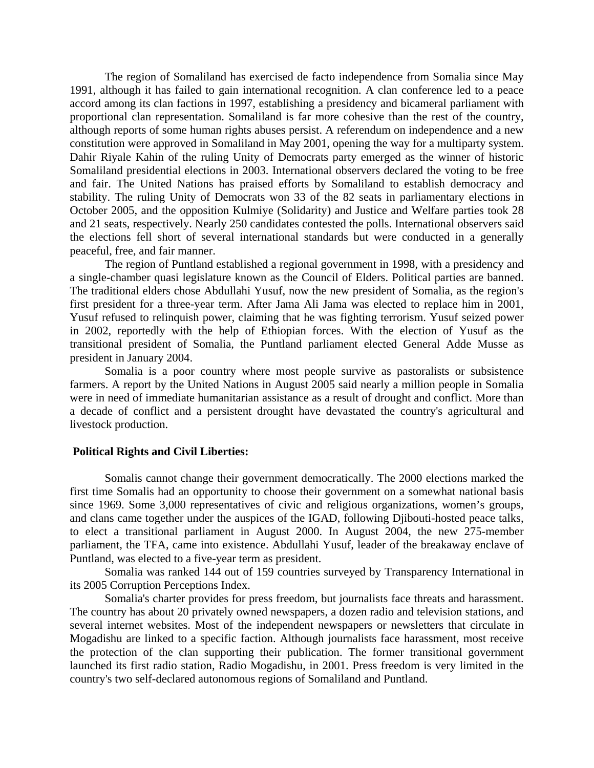The region of Somaliland has exercised de facto independence from Somalia since May 1991, although it has failed to gain international recognition. A clan conference led to a peace accord among its clan factions in 1997, establishing a presidency and bicameral parliament with proportional clan representation. Somaliland is far more cohesive than the rest of the country, although reports of some human rights abuses persist. A referendum on independence and a new constitution were approved in Somaliland in May 2001, opening the way for a multiparty system. Dahir Riyale Kahin of the ruling Unity of Democrats party emerged as the winner of historic Somaliland presidential elections in 2003. International observers declared the voting to be free and fair. The United Nations has praised efforts by Somaliland to establish democracy and stability. The ruling Unity of Democrats won 33 of the 82 seats in parliamentary elections in October 2005, and the opposition Kulmiye (Solidarity) and Justice and Welfare parties took 28 and 21 seats, respectively. Nearly 250 candidates contested the polls. International observers said the elections fell short of several international standards but were conducted in a generally peaceful, free, and fair manner.

 The region of Puntland established a regional government in 1998, with a presidency and a single-chamber quasi legislature known as the Council of Elders. Political parties are banned. The traditional elders chose Abdullahi Yusuf, now the new president of Somalia, as the region's first president for a three-year term. After Jama Ali Jama was elected to replace him in 2001, Yusuf refused to relinquish power, claiming that he was fighting terrorism. Yusuf seized power in 2002, reportedly with the help of Ethiopian forces. With the election of Yusuf as the transitional president of Somalia, the Puntland parliament elected General Adde Musse as president in January 2004.

Somalia is a poor country where most people survive as pastoralists or subsistence farmers. A report by the United Nations in August 2005 said nearly a million people in Somalia were in need of immediate humanitarian assistance as a result of drought and conflict. More than a decade of conflict and a persistent drought have devastated the country's agricultural and livestock production.

## **Political Rights and Civil Liberties:**

Somalis cannot change their government democratically. The 2000 elections marked the first time Somalis had an opportunity to choose their government on a somewhat national basis since 1969. Some 3,000 representatives of civic and religious organizations, women's groups, and clans came together under the auspices of the IGAD, following Djibouti-hosted peace talks, to elect a transitional parliament in August 2000. In August 2004, the new 275-member parliament, the TFA, came into existence. Abdullahi Yusuf, leader of the breakaway enclave of Puntland, was elected to a five-year term as president.

Somalia was ranked 144 out of 159 countries surveyed by Transparency International in its 2005 Corruption Perceptions Index.

 Somalia's charter provides for press freedom, but journalists face threats and harassment. The country has about 20 privately owned newspapers, a dozen radio and television stations, and several internet websites. Most of the independent newspapers or newsletters that circulate in Mogadishu are linked to a specific faction. Although journalists face harassment, most receive the protection of the clan supporting their publication. The former transitional government launched its first radio station, Radio Mogadishu, in 2001. Press freedom is very limited in the country's two self-declared autonomous regions of Somaliland and Puntland.